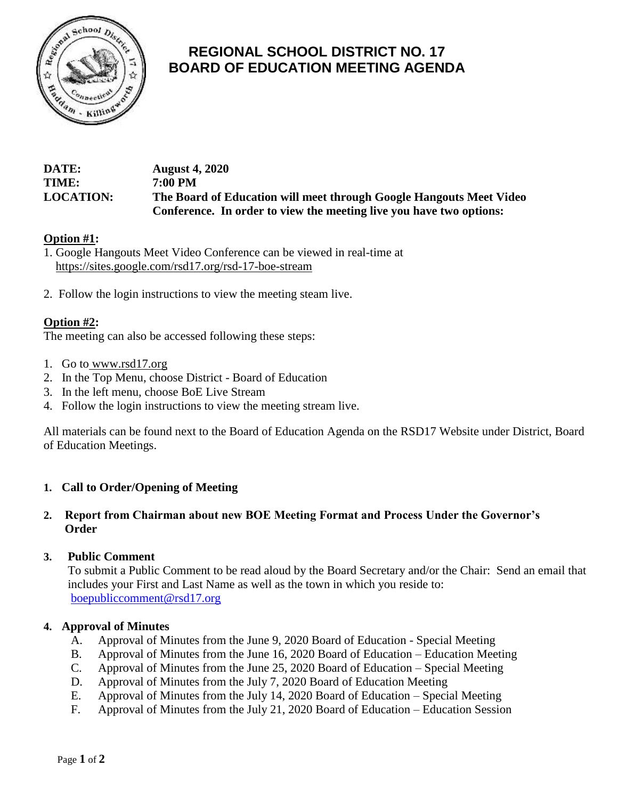

# **REGIONAL SCHOOL DISTRICT NO. 17 BOARD OF EDUCATION MEETING AGENDA**

| DATE:            | <b>August 4, 2020</b>                                               |
|------------------|---------------------------------------------------------------------|
| TIME:            | 7:00 PM                                                             |
| <b>LOCATION:</b> | The Board of Education will meet through Google Hangouts Meet Video |
|                  | Conference. In order to view the meeting live you have two options: |

# **Option #1:**

1. Google Hangouts Meet Video Conference can be viewed in real-time at <https://sites.google.com/rsd17.org/rsd-17-boe-stream>

2. Follow the login instructions to view the meeting steam live.

# **Option #2:**

The meeting can also be accessed following these steps:

- 1. Go to [www.rsd17.org](http://www.rsd17.org/)
- 2. In the Top Menu, choose District Board of Education
- 3. In the left menu, choose BoE Live Stream
- 4. Follow the login instructions to view the meeting stream live.

All materials can be found next to the Board of Education Agenda on the RSD17 Website under District, Board of Education Meetings.

# **1. Call to Order/Opening of Meeting**

# **2. Report from Chairman about new BOE Meeting Format and Process Under the Governor's Order**

#### **3. Public Comment**

 To submit a Public Comment to be read aloud by the Board Secretary and/or the Chair: Send an email that includes your First and Last Name as well as the town in which you reside to: [boepubliccomment@rsd17.org](mailto:boepubliccomment@rsd17.org)

#### **4. Approval of Minutes**

- A. Approval of Minutes from the June 9, 2020 Board of Education Special Meeting
- B. Approval of Minutes from the June 16, 2020 Board of Education Education Meeting
- C. Approval of Minutes from the June 25, 2020 Board of Education Special Meeting
- D. Approval of Minutes from the July 7, 2020 Board of Education Meeting
- E. Approval of Minutes from the July 14, 2020 Board of Education Special Meeting
- F. Approval of Minutes from the July 21, 2020 Board of Education Education Session